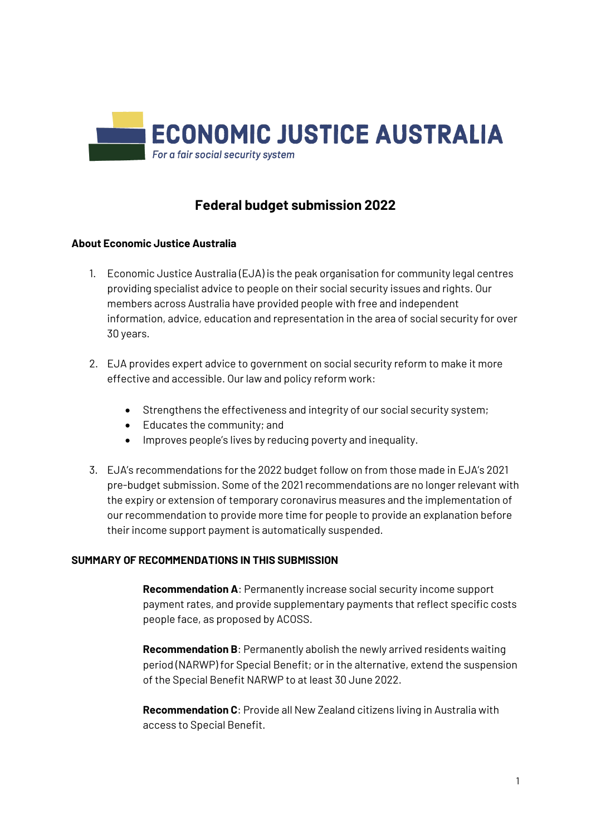

# **Federal budget submission 2022**

### **About Economic Justice Australia**

- 1. Economic Justice Australia (EJA) is the peak organisation for community legal centres providing specialist advice to people on their social security issues and rights. Our members across Australia have provided people with free and independent information, advice, education and representation in the area of social security for over 30 years.
- 2. EJA provides expert advice to government on social security reform to make it more effective and accessible. Our law and policy reform work:
	- Strengthens the effectiveness and integrity of our social security system;
	- Educates the community; and
	- $\bullet$  Improves people's lives by reducing poverty and inequality.
- 3. EJA's recommendations for the 2022 budget follow on from those made in EJA's 2021 pre-budget submission. Some of the 2021 recommendations are no longer relevant with the expiry or extension of temporary coronavirus measures and the implementation of our recommendation to provide more time for people to provide an explanation before their income support payment is automatically suspended.

### **SUMMARY OF RECOMMENDATIONS IN THIS SUBMISSION**

**Recommendation A**: Permanently increase social security income support payment rates, and provide supplementary payments that reflect specific costs people face, as proposed by ACOSS.

**Recommendation B**: Permanently abolish the newly arrived residents waiting period (NARWP) for Special Benefit; or in the alternative, extend the suspension of the Special Benefit NARWP to at least 30 June 2022.

**Recommendation C**: Provide all New Zealand citizens living in Australia with access to Special Benefit.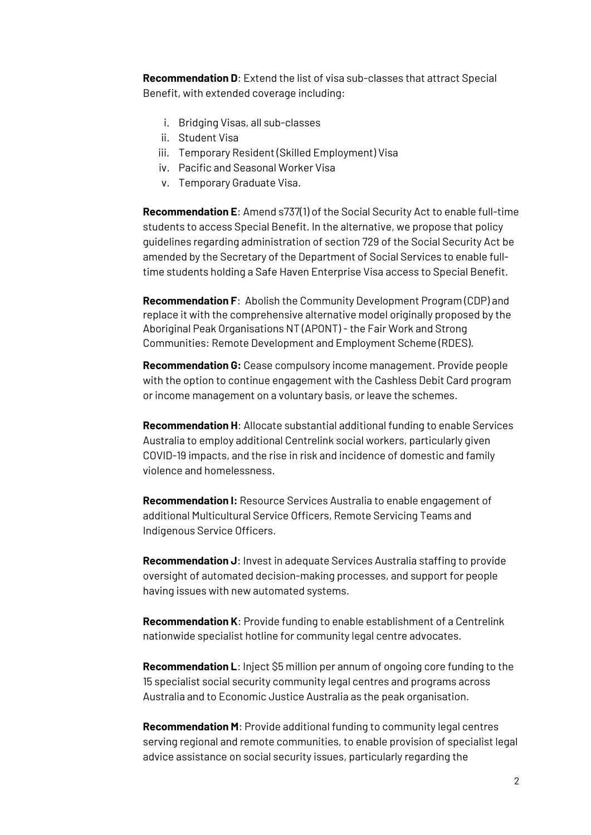**Recommendation D**: Extend the list of visa sub-classes that attract Special Benefit, with extended coverage including:

- i. Bridging Visas, all sub-classes
- ii. Student Visa
- iii. Temporary Resident (Skilled Employment) Visa
- iv. Pacific and Seasonal Worker Visa
- v. Temporary Graduate Visa.

**Recommendation E**: Amend s737(1) of the Social Security Act to enable full-time students to access Special Benefit. In the alternative, we propose that policy guidelines regarding administration of section 729 of the Social Security Act be amended by the Secretary of the Department of Social Services to enable fulltime students holding a Safe Haven Enterprise Visa access to Special Benefit.

**Recommendation F**: Abolish the Community Development Program (CDP) and replace it with the comprehensive alternative model originally proposed by the Aboriginal Peak Organisations NT (APONT) - the Fair Work and Strong Communities: Remote Development and Employment Scheme (RDES).

**Recommendation G:** Cease compulsory income management. Provide people with the option to continue engagement with the Cashless Debit Card program or income management on a voluntary basis, or leave the schemes.

**Recommendation H**: Allocate substantial additional funding to enable Services Australia to employ additional Centrelink social workers, particularly given COVID-19 impacts, and the rise in risk and incidence of domestic and family violence and homelessness.

**Recommendation I:** Resource Services Australia to enable engagement of additional Multicultural Service Officers, Remote Servicing Teams and Indigenous Service Officers.

**Recommendation J**: Invest in adequate Services Australia staffing to provide oversight of automated decision-making processes, and support for people having issues with new automated systems.

**Recommendation K**: Provide funding to enable establishment of a Centrelink nationwide specialist hotline for community legal centre advocates.

**Recommendation L**: Inject \$5 million per annum of ongoing core funding to the 15 specialist social security community legal centres and programs across Australia and to Economic Justice Australia as the peak organisation.

**Recommendation M**: Provide additional funding to community legal centres serving regional and remote communities, to enable provision of specialist legal advice assistance on social security issues, particularly regarding the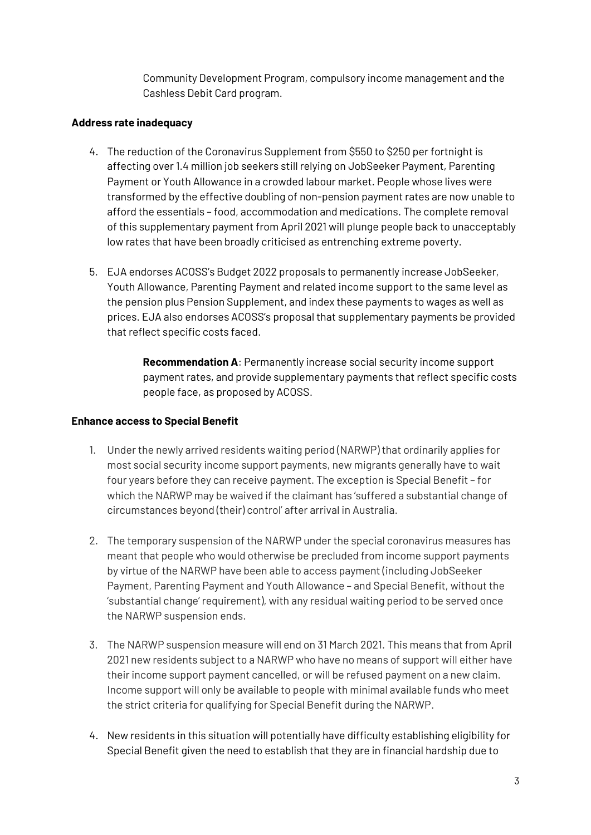Community Development Program, compulsory income management and the Cashless Debit Card program.

### **Address rate inadequacy**

- 4. The reduction of the Coronavirus Supplement from \$550 to \$250 per fortnight is affecting over 1.4 million job seekers still relying on JobSeeker Payment, Parenting Payment or Youth Allowance in a crowded labour market. People whose lives were transformed by the effective doubling of non-pension payment rates are now unable to afford the essentials – food, accommodation and medications. The complete removal of this supplementary payment from April 2021 will plunge people back to unacceptably low rates that have been broadly criticised as entrenching extreme poverty.
- 5. EJA endorses ACOSS's Budget 2022 proposals to permanently increase JobSeeker, Youth Allowance, Parenting Payment and related income support to the same level as the pension plus Pension Supplement, and index these payments to wages as well as prices. EJA also endorses ACOSS's proposal that supplementary payments be provided that reflect specific costs faced.

**Recommendation A**: Permanently increase social security income support payment rates, and provide supplementary payments that reflect specific costs people face, as proposed by ACOSS.

### **Enhance access to Special Benefit**

- 1. Under the newly arrived residents waiting period (NARWP) that ordinarily applies for most social security income support payments, new migrants generally have to wait four years before they can receive payment. The exception is Special Benefit – for which the NARWP may be waived if the claimant has 'suffered a substantial change of circumstances beyond (their) control' after arrival in Australia.
- 2. The temporary suspension of the NARWP under the special coronavirus measures has meant that people who would otherwise be precluded from income support payments by virtue of the NARWP have been able to access payment (including JobSeeker Payment, Parenting Payment and Youth Allowance – and Special Benefit, without the 'substantial change' requirement), with any residual waiting period to be served once the NARWP suspension ends.
- 3. The NARWP suspension measure will end on 31 March 2021. This means that from April 2021 new residents subject to a NARWP who have no means of support will either have their income support payment cancelled, or will be refused payment on a new claim. Income support will only be available to people with minimal available funds who meet the strict criteria for qualifying for Special Benefit during the NARWP.
- 4. New residents in this situation will potentially have difficulty establishing eligibility for Special Benefit given the need to establish that they are in financial hardship due to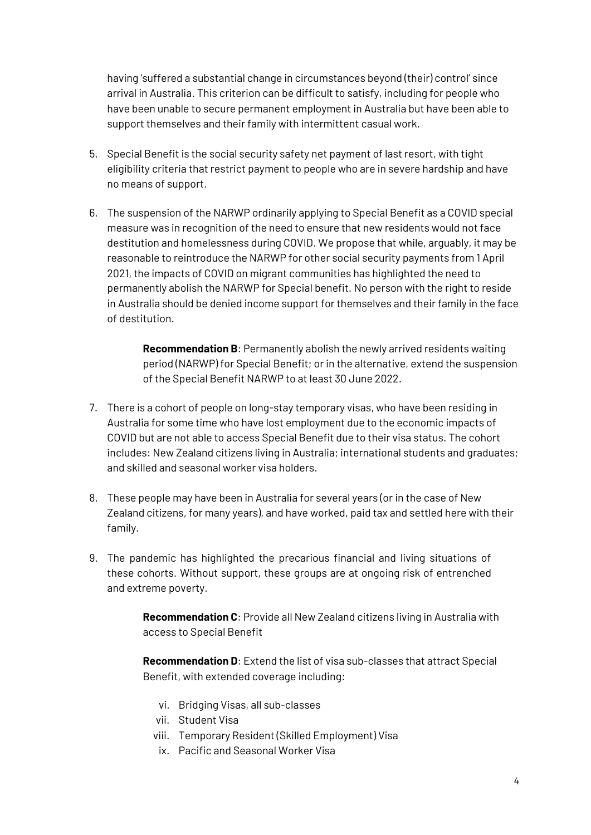having 'suffered a substantial change in circumstances beyond (their) control' since arrival in Australia. This criterion can be difficult to satisfy, including for people who have been unable to secure permanent employment in Australia but have been able to support themselves and their family with intermittent casual work.

- 5. Special Benefit is the social security safety net payment of last resort, with tight eligibility criteria that restrict payment to people who are in severe hardship and have no means of support.
- 6. The suspension of the NARWP ordinarily applying to Special Benefit as a COVID special measure was in recognition of the need to ensure that new residents would not face destitution and homelessness during COVID. We propose that while, arguably, it may be reasonable to reintroduce the NARWP for other social security payments from 1 April 2021, the impacts of COVID on migrant communities has highlighted the need to permanently abolish the NARWP for Special benefit. No person with the right to reside in Australia should be denied income support for themselves and their family in the face of destitution.

**Recommendation B**: Permanently abolish the newly arrived residents waiting period (NARWP) for Special Benefit; or in the alternative, extend the suspension of the Special Benefit NARWP to at least 30 June 2022.

- 7. There is a cohort of people on long-stay temporary visas, who have been residing in Australia for some time who have lost employment due to the economic impacts of COVID but are not able to access Special Benefit due to their visa status. The cohort includes: New Zealand citizens living in Australia; international students and graduates; and skilled and seasonal worker visa holders.
- 8. These people may have been in Australia for several years (or in the case of New Zealand citizens, for many years), and have worked, paid tax and settled here with their family.
- 9. The pandemic has highlighted the precarious financial and living situations of these cohorts. Without support, these groups are at ongoing risk of entrenched and extreme poverty.

**Recommendation C**: Provide all New Zealand citizens living in Australia with access to Special Benefit

**Recommendation D**: Extend the list of visa sub-classes that attract Special Benefit, with extended coverage including:

- vi. Bridging Visas, all sub-classes
- vii. Student Visa
- viii. Temporary Resident (Skilled Employment) Visa
- ix. Pacific and Seasonal Worker Visa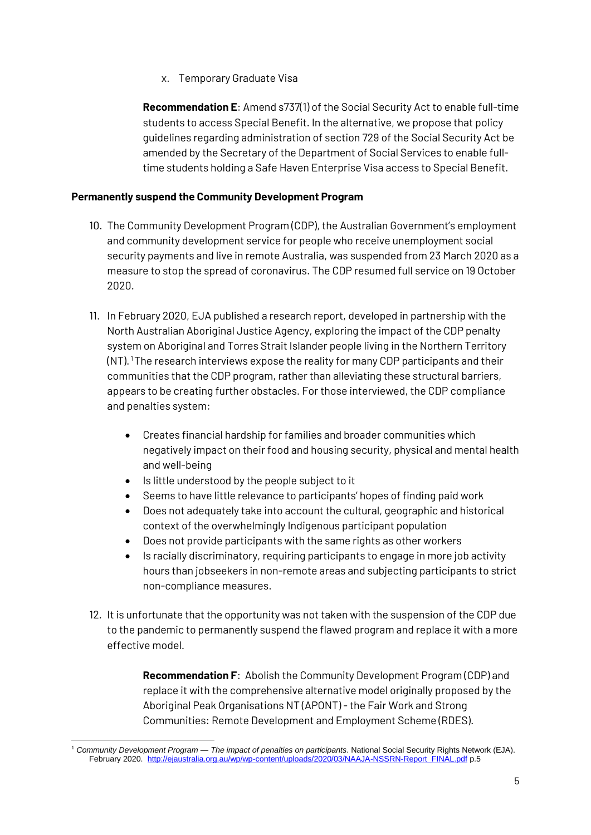x. Temporary Graduate Visa

**Recommendation E**: Amend s737(1) of the Social Security Act to enable full-time students to access Special Benefit. In the alternative, we propose that policy guidelines regarding administration of section 729 of the Social Security Act be amended by the Secretary of the Department of Social Services to enable fulltime students holding a Safe Haven Enterprise Visa access to Special Benefit.

## **Permanently suspend the Community Development Program**

- 10. The Community Development Program (CDP), the Australian Government's employment and community development service for people who receive unemployment social security payments and live in remote Australia, was suspended from 23 March 2020 as a measure to stop the spread of coronavirus. The CDP resumed full service on 19 October 2020.
- 11. In February 2020, EJA published a research report, developed in partnership with the North Australian Aboriginal Justice Agency, exploring the impact of the CDP penalty system on Aboriginal and Torres Strait Islander people living in the Northern Territory  $(N)$ . The research interviews expose the reality for many CDP participants and their communities that the CDP program, rather than alleviating these structural barriers, appears to be creating further obstacles. For those interviewed, the CDP compliance and penalties system:
	- Creates financial hardship for families and broader communities which negatively impact on their food and housing security, physical and mental health and well-being
	- Is little understood by the people subject to it
	- Seems to have little relevance to participants' hopes of finding paid work
	- Does not adequately take into account the cultural, geographic and historical context of the overwhelmingly Indigenous participant population
	- Does not provide participants with the same rights as other workers
	- Is racially discriminatory, requiring participants to engage in more job activity hours than jobseekers in non-remote areas and subjecting participants to strict non-compliance measures.
- 12. It is unfortunate that the opportunity was not taken with the suspension of the CDP due to the pandemic to permanently suspend the flawed program and replace it with a more effective model.

**Recommendation F**: Abolish the Community Development Program (CDP) and replace it with the comprehensive alternative model originally proposed by the Aboriginal Peak Organisations NT (APONT) - the Fair Work and Strong Communities: Remote Development and Employment Scheme (RDES).

<sup>1</sup> <sup>1</sup> *Community Development Program — The impact of penalties on participants*. National Social Security Rights Network (EJA). February 2020. [http://ejaustralia.org.au/wp/wp-content/uploads/2020/03/NAAJA-NSSRN-Report\\_FINAL.pdf](http://ejaustralia.org.au/wp/wp-content/uploads/2020/03/NAAJA-NSSRN-Report_FINAL.pdf) p.5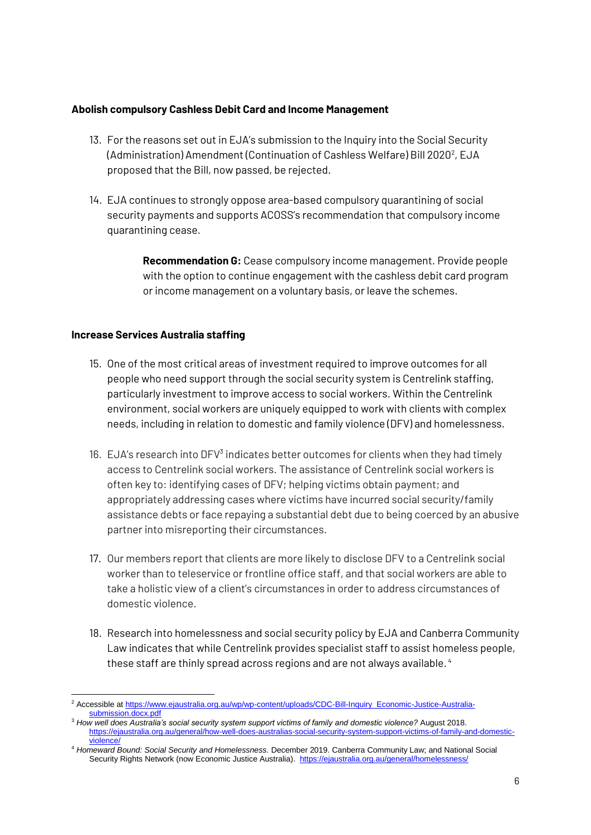### **Abolish compulsory Cashless Debit Card and Income Management**

- 13. For the reasons set out in EJA's submission to the Inquiry into the Social Security (Administration) Amendment (Continuation of Cashless Welfare) Bill 2020<sup>2</sup>, EJA proposed that the Bill, now passed, be rejected.
- 14. EJA continues to strongly oppose area-based compulsory quarantining of social security payments and supports ACOSS's recommendation that compulsory income quarantining cease.

**Recommendation G:** Cease compulsory income management. Provide people with the option to continue engagement with the cashless debit card program or income management on a voluntary basis, or leave the schemes.

### **Increase Services Australia staffing**

- 15. One of the most critical areas of investment required to improve outcomes for all people who need support through the social security system is Centrelink staffing, particularly investment to improve access to social workers. Within the Centrelink environment, social workers are uniquely equipped to work with clients with complex needs, including in relation to domestic and family violence (DFV) and homelessness.
- 16. EJA's research into DFV $3$  indicates better outcomes for clients when they had timely access to Centrelink social workers. The assistance of Centrelink social workers is often key to: identifying cases of DFV; helping victims obtain payment; and appropriately addressing cases where victims have incurred social security/family assistance debts or face repaying a substantial debt due to being coerced by an abusive partner into misreporting their circumstances.
- 17. Our members report that clients are more likely to disclose DFV to a Centrelink social worker than to teleservice or frontline office staff, and that social workers are able to take a holistic view of a client's circumstances in order to address circumstances of domestic violence.
- 18. Research into homelessness and social security policy by EJA and Canberra Community Law indicates that while Centrelink provides specialist staff to assist homeless people, these staff are thinly spread across regions and are not always available. <sup>4</sup>

 $\overline{\phantom{a}}$ <sup>2</sup> Accessible a[t https://www.ejaustralia.org.au/wp/wp-content/uploads/CDC-Bill-Inquiry\\_Economic-Justice-Australia](https://www.ejaustralia.org.au/wp/wp-content/uploads/CDC-Bill-Inquiry_Economic-Justice-Australia-submission.docx.pdf)[submission.docx.pdf](https://www.ejaustralia.org.au/wp/wp-content/uploads/CDC-Bill-Inquiry_Economic-Justice-Australia-submission.docx.pdf)

<sup>3</sup> *How well does Australia's social security system support victims of family and domestic violence?* August 2018. [https://ejaustralia.org.au/general/how-well-does-australias-social-security-system-support-victims-of-family-and-domestic](https://ejaustralia.org.au/general/how-well-does-australias-social-security-system-support-victims-of-family-and-domestic-violence/)[violence/](https://ejaustralia.org.au/general/how-well-does-australias-social-security-system-support-victims-of-family-and-domestic-violence/)

<sup>4</sup> *Homeward Bound: Social Security and Homelessness.* December 2019. Canberra Community Law; and National Social Security Rights Network (now Economic Justice Australia).<https://ejaustralia.org.au/general/homelessness/>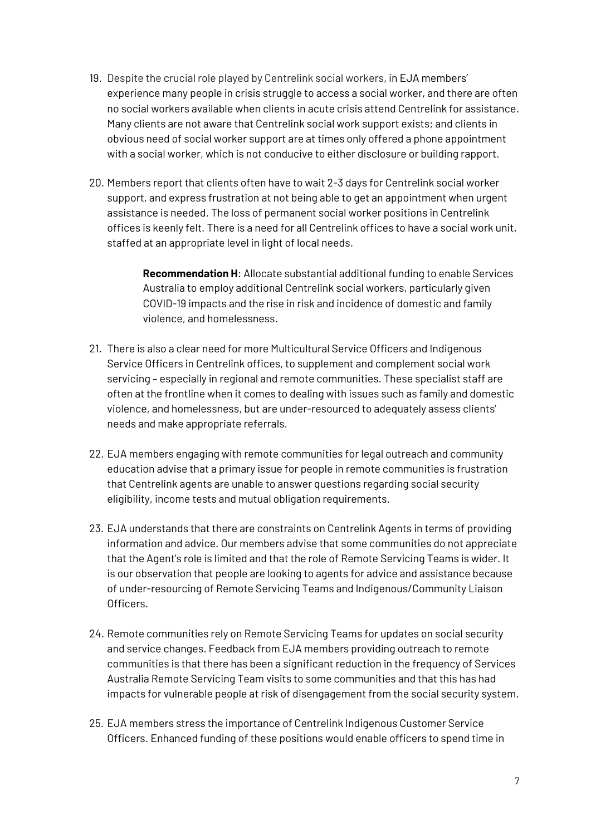- 19. Despite the crucial role played by Centrelink social workers, in EJA members' experience many people in crisis struggle to access a social worker, and there are often no social workers available when clients in acute crisis attend Centrelink for assistance. Many clients are not aware that Centrelink social work support exists; and clients in obvious need of social worker support are at times only offered a phone appointment with a social worker, which is not conducive to either disclosure or building rapport.
- 20. Members report that clients often have to wait 2-3 days for Centrelink social worker support, and express frustration at not being able to get an appointment when urgent assistance is needed. The loss of permanent social worker positions in Centrelink offices is keenly felt. There is a need for all Centrelink offices to have a social work unit, staffed at an appropriate level in light of local needs.

**Recommendation H**: Allocate substantial additional funding to enable Services Australia to employ additional Centrelink social workers, particularly given COVID-19 impacts and the rise in risk and incidence of domestic and family violence, and homelessness.

- 21. There is also a clear need for more Multicultural Service Officers and Indigenous Service Officers in Centrelink offices, to supplement and complement social work servicing – especially in regional and remote communities. These specialist staff are often at the frontline when it comes to dealing with issues such as family and domestic violence, and homelessness, but are under-resourced to adequately assess clients' needs and make appropriate referrals.
- 22. EJA members engaging with remote communities for legal outreach and community education advise that a primary issue for people in remote communities is frustration that Centrelink agents are unable to answer questions regarding social security eligibility, income tests and mutual obligation requirements.
- 23. EJA understands that there are constraints on Centrelink Agents in terms of providing information and advice. Our members advise that some communities do not appreciate that the Agent's role is limited and that the role of Remote Servicing Teams is wider. It is our observation that people are looking to agents for advice and assistance because of under-resourcing of Remote Servicing Teams and Indigenous/Community Liaison Officers.
- 24. Remote communities rely on Remote Servicing Teams for updates on social security and service changes. Feedback from EJA members providing outreach to remote communities is that there has been a significant reduction in the frequency of Services Australia Remote Servicing Team visits to some communities and that this has had impacts for vulnerable people at risk of disengagement from the social security system.
- 25. EJA members stress the importance of Centrelink Indigenous Customer Service Officers. Enhanced funding of these positions would enable officers to spend time in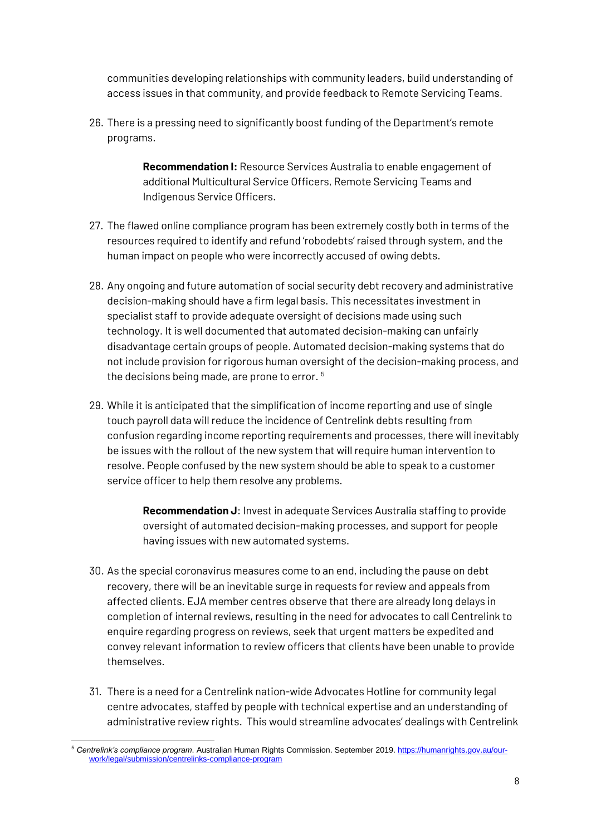communities developing relationships with community leaders, build understanding of access issues in that community, and provide feedback to Remote Servicing Teams.

26. There is a pressing need to significantly boost funding of the Department's remote programs.

> **Recommendation I:** Resource Services Australia to enable engagement of additional Multicultural Service Officers, Remote Servicing Teams and Indigenous Service Officers.

- 27. The flawed online compliance program has been extremely costly both in terms of the resources required to identify and refund 'robodebts' raised through system, and the human impact on people who were incorrectly accused of owing debts.
- 28. Any ongoing and future automation of social security debt recovery and administrative decision-making should have a firm legal basis. This necessitates investment in specialist staff to provide adequate oversight of decisions made using such technology. It is well documented that automated decision-making can unfairly disadvantage certain groups of people. Automated decision-making systems that do not include provision for rigorous human oversight of the decision-making process, and the decisions being made, are prone to error. <sup>5</sup>
- 29. While it is anticipated that the simplification of income reporting and use of single touch payroll data will reduce the incidence of Centrelink debts resulting from confusion regarding income reporting requirements and processes, there will inevitably be issues with the rollout of the new system that will require human intervention to resolve. People confused by the new system should be able to speak to a customer service officer to help them resolve any problems.

**Recommendation J**: Invest in adequate Services Australia staffing to provide oversight of automated decision-making processes, and support for people having issues with new automated systems.

- 30. As the special coronavirus measures come to an end, including the pause on debt recovery, there will be an inevitable surge in requests for review and appeals from affected clients. EJA member centres observe that there are already long delays in completion of internal reviews, resulting in the need for advocates to call Centrelink to enquire regarding progress on reviews, seek that urgent matters be expedited and convey relevant information to review officers that clients have been unable to provide themselves.
- 31. There is a need for a Centrelink nation-wide Advocates Hotline for community legal centre advocates, staffed by people with technical expertise and an understanding of administrative review rights. This would streamline advocates' dealings with Centrelink

<sup>1</sup> <sup>5</sup> *Centrelink's compliance program*. Australian Human Rights Commission. September 2019[. https://humanrights.gov.au/our](https://humanrights.gov.au/our-work/legal/submission/centrelinks-compliance-program)[work/legal/submission/centrelinks-compliance-program](https://humanrights.gov.au/our-work/legal/submission/centrelinks-compliance-program)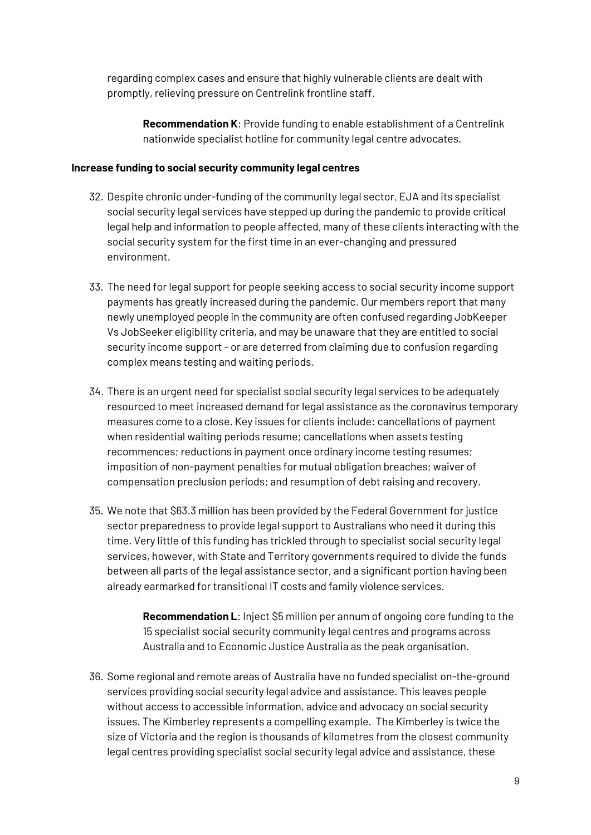regarding complex cases and ensure that highly vulnerable clients are dealt with promptly, relieving pressure on Centrelink frontline staff.

**Recommendation K**: Provide funding to enable establishment of a Centrelink nationwide specialist hotline for community legal centre advocates.

### **Increase funding to social security community legal centres**

- 32. Despite chronic under-funding of the community legal sector, EJA and its specialist social security legal services have stepped up during the pandemic to provide critical legal help and information to people affected, many of these clients interacting with the social security system for the first time in an ever-changing and pressured environment.
- 33. The need for legal support for people seeking access to social security income support payments has greatly increased during the pandemic. Our members report that many newly unemployed people in the community are often confused regarding JobKeeper Vs JobSeeker eligibility criteria, and may be unaware that they are entitled to social security income support- or are deterred from claiming due to confusion regarding complex means testing and waiting periods.
- 34. There is an urgent need for specialist social security legal services to be adequately resourced to meet increased demand for legal assistance as the coronavirus temporary measures come to a close. Key issues for clients include: cancellations of payment when residential waiting periods resume; cancellations when assets testing recommences; reductions in payment once ordinary income testing resumes; imposition of non-payment penalties for mutual obligation breaches; waiver of compensation preclusion periods; and resumption of debt raising and recovery.
- 35. We note that \$63.3 million has been provided by the Federal Government for justice sector preparedness to provide legal support to Australians who need it during this time. Very little of this funding has trickled through to specialist social security legal services, however, with State and Territory governments required to divide the funds between all parts of the legal assistance sector, and a significant portion having been already earmarked for transitional IT costs and family violence services.

**Recommendation L**: Inject \$5 million per annum of ongoing core funding to the 15 specialist social security community legal centres and programs across Australia and to Economic Justice Australia as the peak organisation.

36. Some regional and remote areas of Australia have no funded specialist on-the-ground services providing social security legal advice and assistance. This leaves people without access to accessible information, advice and advocacy on social security issues. The Kimberley represents a compelling example. The Kimberley is twice the size of Victoria and the region is thousands of kilometres from the closest community legal centres providing specialist social security legal advice and assistance, these